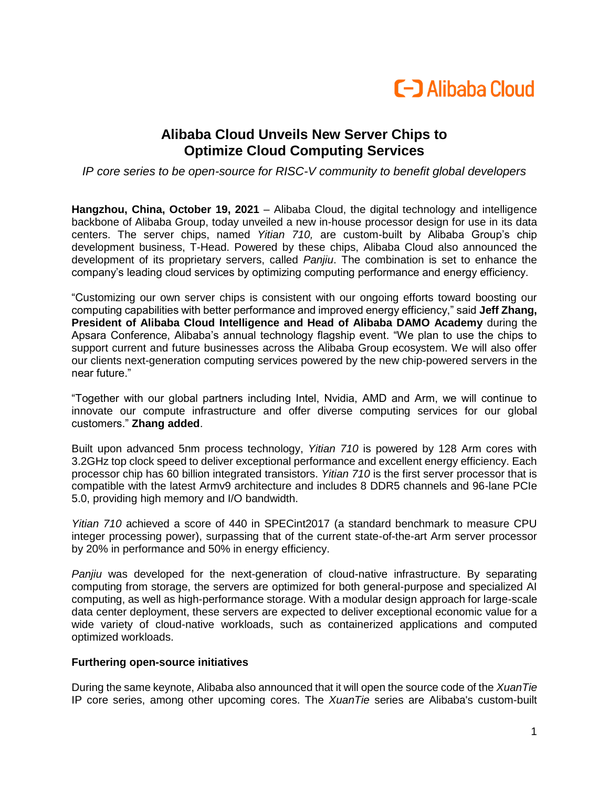

## **Alibaba Cloud Unveils New Server Chips to Optimize Cloud Computing Services**

*IP core series to be open-source for RISC-V community to benefit global developers*

**Hangzhou, China, October 19, 2021** – Alibaba Cloud, the digital technology and intelligence backbone of Alibaba Group, today unveiled a new in-house processor design for use in its data centers. The server chips, named *Yitian 710,* are custom-built by Alibaba Group's chip development business, T-Head. Powered by these chips, Alibaba Cloud also announced the development of its proprietary servers, called *Panjiu*. The combination is set to enhance the company's leading cloud services by optimizing computing performance and energy efficiency.

"Customizing our own server chips is consistent with our ongoing efforts toward boosting our computing capabilities with better performance and improved energy efficiency," said **Jeff Zhang, President of Alibaba Cloud Intelligence and Head of Alibaba DAMO Academy** during the Apsara Conference, Alibaba's annual technology flagship event. "We plan to use the chips to support current and future businesses across the Alibaba Group ecosystem. We will also offer our clients next-generation computing services powered by the new chip-powered servers in the near future."

"Together with our global partners including Intel, Nvidia, AMD and Arm, we will continue to innovate our compute infrastructure and offer diverse computing services for our global customers." **Zhang added**.

Built upon advanced 5nm process technology, *Yitian 710* is powered by 128 Arm cores with 3.2GHz top clock speed to deliver exceptional performance and excellent energy efficiency. Each processor chip has 60 billion integrated transistors. *Yitian 710* is the first server processor that is compatible with the latest Armv9 architecture and includes 8 DDR5 channels and 96-lane PCIe 5.0, providing high memory and I/O bandwidth.

*Yitian 710* achieved a score of 440 in SPECint2017 (a standard benchmark to measure CPU integer processing power), surpassing that of the current state-of-the-art Arm server processor by 20% in performance and 50% in energy efficiency.

*Panjiu* was developed for the next-generation of cloud-native infrastructure. By separating computing from storage, the servers are optimized for both general-purpose and specialized AI computing, as well as high-performance storage. With a modular design approach for large-scale data center deployment, these servers are expected to deliver exceptional economic value for a wide variety of cloud-native workloads, such as containerized applications and computed optimized workloads.

## **Furthering open-source initiatives**

During the same keynote, Alibaba also announced that it will open the source code of the *XuanTie* IP core series, among other upcoming cores. The *XuanTie* series are Alibaba's custom-built